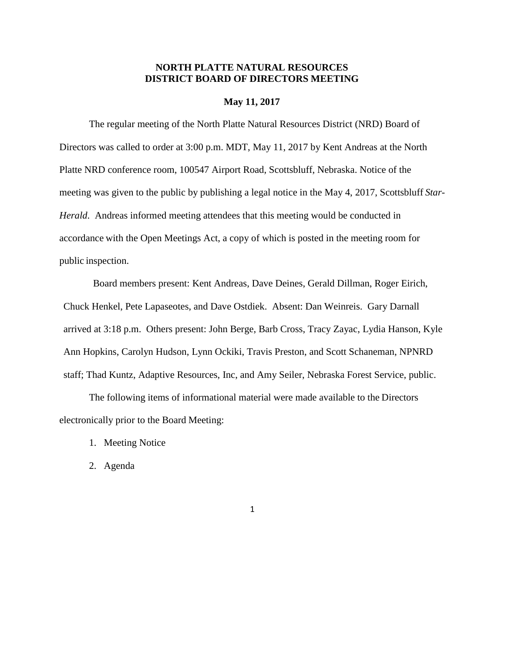## **NORTH PLATTE NATURAL RESOURCES DISTRICT BOARD OF DIRECTORS MEETING**

#### **May 11, 2017**

The regular meeting of the North Platte Natural Resources District (NRD) Board of Directors was called to order at 3:00 p.m. MDT, May 11, 2017 by Kent Andreas at the North Platte NRD conference room, 100547 Airport Road, Scottsbluff, Nebraska. Notice of the meeting was given to the public by publishing a legal notice in the May 4, 2017, Scottsbluff *Star-Herald*. Andreas informed meeting attendees that this meeting would be conducted in accordance with the Open Meetings Act, a copy of which is posted in the meeting room for public inspection.

Board members present: Kent Andreas, Dave Deines, Gerald Dillman, Roger Eirich, Chuck Henkel, Pete Lapaseotes, and Dave Ostdiek. Absent: Dan Weinreis. Gary Darnall arrived at 3:18 p.m. Others present: John Berge, Barb Cross, Tracy Zayac, Lydia Hanson, Kyle Ann Hopkins, Carolyn Hudson, Lynn Ockiki, Travis Preston, and Scott Schaneman, NPNRD staff; Thad Kuntz, Adaptive Resources, Inc, and Amy Seiler, Nebraska Forest Service, public.

The following items of informational material were made available to the Directors electronically prior to the Board Meeting:

- 1. Meeting Notice
- 2. Agenda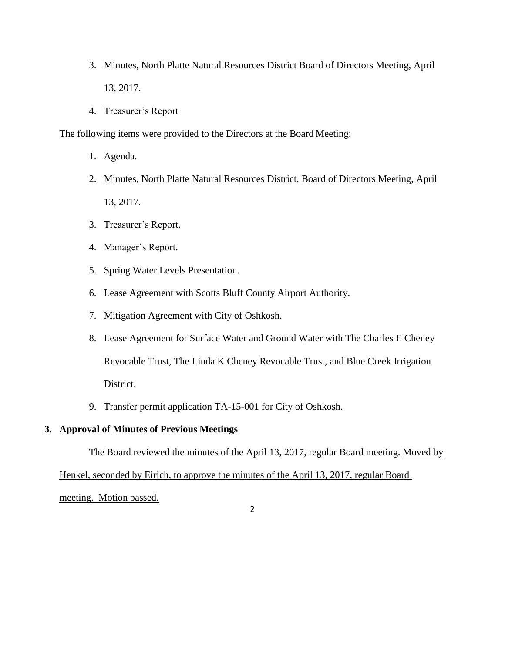- 3. Minutes, North Platte Natural Resources District Board of Directors Meeting, April 13, 2017.
- 4. Treasurer's Report

The following items were provided to the Directors at the Board Meeting:

- 1. Agenda.
- 2. Minutes, North Platte Natural Resources District, Board of Directors Meeting, April 13, 2017.
- 3. Treasurer's Report.
- 4. Manager's Report.
- 5. Spring Water Levels Presentation.
- 6. Lease Agreement with Scotts Bluff County Airport Authority.
- 7. Mitigation Agreement with City of Oshkosh.
- 8. Lease Agreement for Surface Water and Ground Water with The Charles E Cheney Revocable Trust, The Linda K Cheney Revocable Trust, and Blue Creek Irrigation District.
- 9. Transfer permit application TA-15-001 for City of Oshkosh.

# **3. Approval of Minutes of Previous Meetings**

The Board reviewed the minutes of the April 13, 2017, regular Board meeting. Moved by

Henkel, seconded by Eirich, to approve the minutes of the April 13, 2017, regular Board

2

meeting. Motion passed.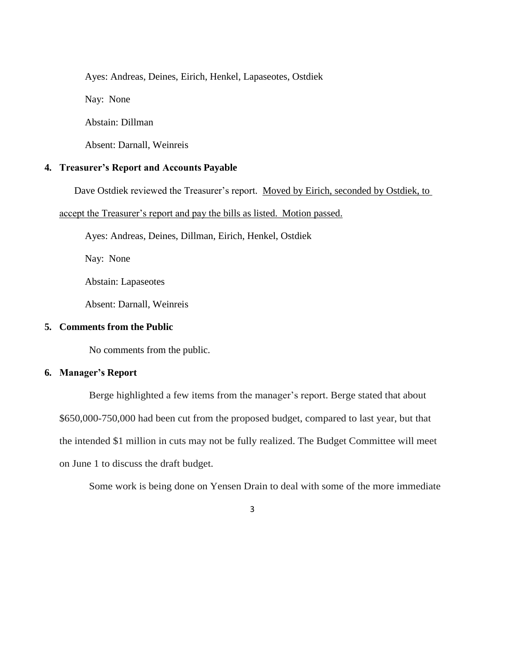Ayes: Andreas, Deines, Eirich, Henkel, Lapaseotes, Ostdiek

Nay: None

Abstain: Dillman

Absent: Darnall, Weinreis

# **4. Treasurer's Report and Accounts Payable**

Dave Ostdiek reviewed the Treasurer's report. Moved by Eirich, seconded by Ostdiek, to

accept the Treasurer's report and pay the bills as listed. Motion passed.

Ayes: Andreas, Deines, Dillman, Eirich, Henkel, Ostdiek

Nay: None

Abstain: Lapaseotes

Absent: Darnall, Weinreis

## **5. Comments from the Public**

No comments from the public.

# **6. Manager's Report**

Berge highlighted a few items from the manager's report. Berge stated that about \$650,000-750,000 had been cut from the proposed budget, compared to last year, but that the intended \$1 million in cuts may not be fully realized. The Budget Committee will meet on June 1 to discuss the draft budget.

Some work is being done on Yensen Drain to deal with some of the more immediate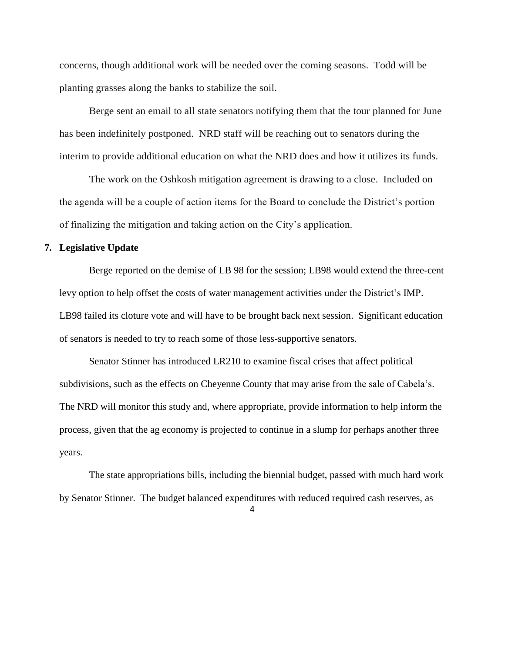concerns, though additional work will be needed over the coming seasons. Todd will be planting grasses along the banks to stabilize the soil.

Berge sent an email to all state senators notifying them that the tour planned for June has been indefinitely postponed. NRD staff will be reaching out to senators during the interim to provide additional education on what the NRD does and how it utilizes its funds.

The work on the Oshkosh mitigation agreement is drawing to a close. Included on the agenda will be a couple of action items for the Board to conclude the District's portion of finalizing the mitigation and taking action on the City's application.

### **7. Legislative Update**

Berge reported on the demise of LB 98 for the session; LB98 would extend the three-cent levy option to help offset the costs of water management activities under the District's IMP. LB98 failed its cloture vote and will have to be brought back next session. Significant education of senators is needed to try to reach some of those less-supportive senators.

Senator Stinner has introduced LR210 to examine fiscal crises that affect political subdivisions, such as the effects on Cheyenne County that may arise from the sale of Cabela's. The NRD will monitor this study and, where appropriate, provide information to help inform the process, given that the ag economy is projected to continue in a slump for perhaps another three years.

The state appropriations bills, including the biennial budget, passed with much hard work by Senator Stinner. The budget balanced expenditures with reduced required cash reserves, as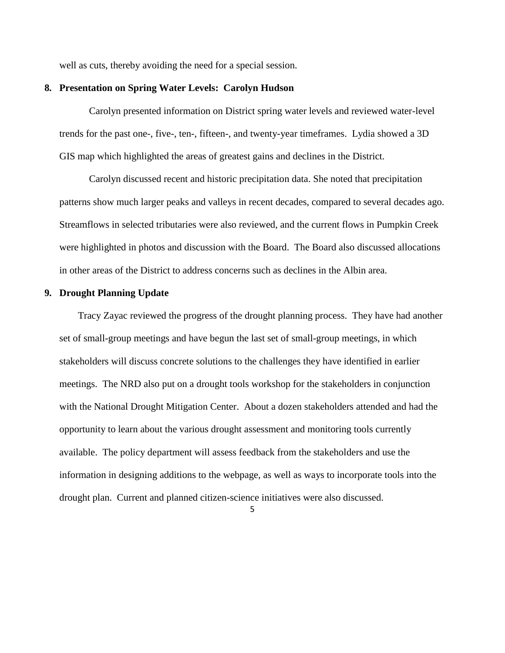well as cuts, thereby avoiding the need for a special session.

#### **8. Presentation on Spring Water Levels: Carolyn Hudson**

Carolyn presented information on District spring water levels and reviewed water-level trends for the past one-, five-, ten-, fifteen-, and twenty-year timeframes. Lydia showed a 3D GIS map which highlighted the areas of greatest gains and declines in the District.

Carolyn discussed recent and historic precipitation data. She noted that precipitation patterns show much larger peaks and valleys in recent decades, compared to several decades ago. Streamflows in selected tributaries were also reviewed, and the current flows in Pumpkin Creek were highlighted in photos and discussion with the Board. The Board also discussed allocations in other areas of the District to address concerns such as declines in the Albin area.

#### **9. Drought Planning Update**

Tracy Zayac reviewed the progress of the drought planning process. They have had another set of small-group meetings and have begun the last set of small-group meetings, in which stakeholders will discuss concrete solutions to the challenges they have identified in earlier meetings. The NRD also put on a drought tools workshop for the stakeholders in conjunction with the National Drought Mitigation Center. About a dozen stakeholders attended and had the opportunity to learn about the various drought assessment and monitoring tools currently available. The policy department will assess feedback from the stakeholders and use the information in designing additions to the webpage, as well as ways to incorporate tools into the drought plan. Current and planned citizen-science initiatives were also discussed.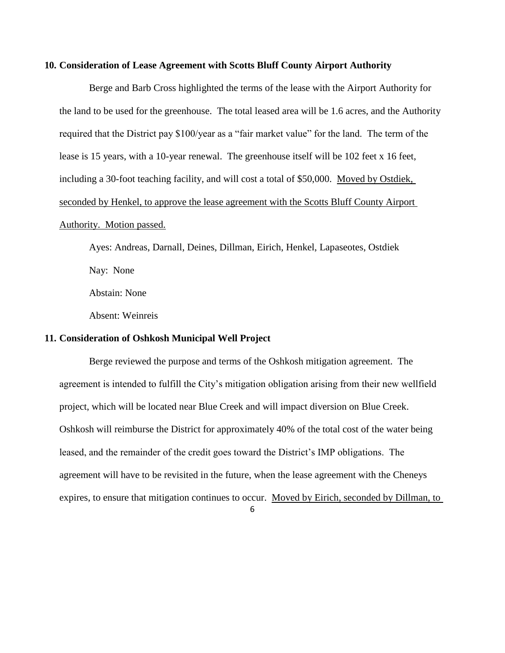#### **10. Consideration of Lease Agreement with Scotts Bluff County Airport Authority**

Berge and Barb Cross highlighted the terms of the lease with the Airport Authority for the land to be used for the greenhouse. The total leased area will be 1.6 acres, and the Authority required that the District pay \$100/year as a "fair market value" for the land. The term of the lease is 15 years, with a 10-year renewal. The greenhouse itself will be 102 feet x 16 feet, including a 30-foot teaching facility, and will cost a total of \$50,000. Moved by Ostdiek, seconded by Henkel, to approve the lease agreement with the Scotts Bluff County Airport

# Authority. Motion passed.

Ayes: Andreas, Darnall, Deines, Dillman, Eirich, Henkel, Lapaseotes, Ostdiek Nay: None

Abstain: None

Absent: Weinreis

### **11. Consideration of Oshkosh Municipal Well Project**

Berge reviewed the purpose and terms of the Oshkosh mitigation agreement. The agreement is intended to fulfill the City's mitigation obligation arising from their new wellfield project, which will be located near Blue Creek and will impact diversion on Blue Creek. Oshkosh will reimburse the District for approximately 40% of the total cost of the water being leased, and the remainder of the credit goes toward the District's IMP obligations. The agreement will have to be revisited in the future, when the lease agreement with the Cheneys expires, to ensure that mitigation continues to occur. Moved by Eirich, seconded by Dillman, to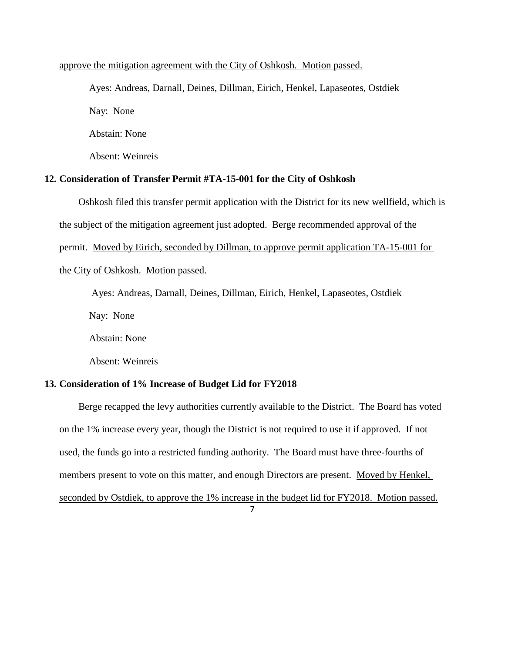#### approve the mitigation agreement with the City of Oshkosh. Motion passed.

Ayes: Andreas, Darnall, Deines, Dillman, Eirich, Henkel, Lapaseotes, Ostdiek Nay: None Abstain: None Absent: Weinreis

**12. Consideration of Transfer Permit #TA-15-001 for the City of Oshkosh**

Oshkosh filed this transfer permit application with the District for its new wellfield, which is the subject of the mitigation agreement just adopted. Berge recommended approval of the permit. Moved by Eirich, seconded by Dillman, to approve permit application TA-15-001 for the City of Oshkosh. Motion passed.

Ayes: Andreas, Darnall, Deines, Dillman, Eirich, Henkel, Lapaseotes, Ostdiek Nay: None Abstain: None Absent: Weinreis

### **13. Consideration of 1% Increase of Budget Lid for FY2018**

7 Berge recapped the levy authorities currently available to the District. The Board has voted on the 1% increase every year, though the District is not required to use it if approved. If not used, the funds go into a restricted funding authority. The Board must have three-fourths of members present to vote on this matter, and enough Directors are present. Moved by Henkel, seconded by Ostdiek, to approve the 1% increase in the budget lid for FY2018. Motion passed.